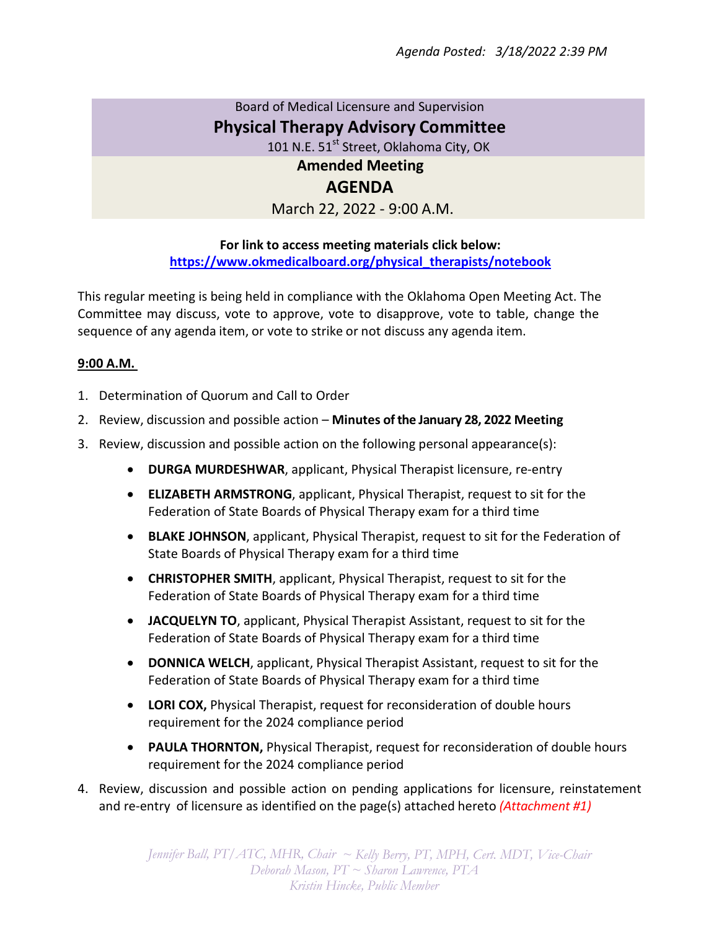## Board of Medical Licensure and Supervision **Physical Therapy Advisory Committee** 101 N.E. 51<sup>st</sup> Street, Oklahoma City, OK **Amended Meeting**

## **AGENDA**

March 22, 2022 - 9:00 A.M.

## **For link to access meeting materials click below: https://www.okmedicalboard.org/physical\_therapists/notebook**

This regular meeting is being held in compliance with the Oklahoma Open Meeting Act. The Committee may discuss, vote to approve, vote to disapprove, vote to table, change the sequence of any agenda item, or vote to strike or not discuss any agenda item.

## **9:00 A.M.**

- 1. Determination of Quorum and Call to Order
- 2. Review, discussion and possible action **Minutes of the January 28, 2022 Meeting**
- 3. Review, discussion and possible action on the following personal appearance(s):
	- **DURGA MURDESHWAR**, applicant, Physical Therapist licensure, re-entry
	- **ELIZABETH ARMSTRONG**, applicant, Physical Therapist, request to sit for the Federation of State Boards of Physical Therapy exam for a third time
	- **BLAKE JOHNSON**, applicant, Physical Therapist, request to sit for the Federation of State Boards of Physical Therapy exam for a third time
	- **CHRISTOPHER SMITH**, applicant, Physical Therapist, request to sit for the Federation of State Boards of Physical Therapy exam for a third time
	- **JACQUELYN TO**, applicant, Physical Therapist Assistant, request to sit for the Federation of State Boards of Physical Therapy exam for a third time
	- **DONNICA WELCH**, applicant, Physical Therapist Assistant, request to sit for the Federation of State Boards of Physical Therapy exam for a third time
	- **LORI COX,** Physical Therapist, request for reconsideration of double hours requirement for the 2024 compliance period
	- **PAULA THORNTON,** Physical Therapist, request for reconsideration of double hours requirement for the 2024 compliance period
- 4. Review, discussion and possible action on pending applications for licensure, reinstatement and re-entry of licensure as identified on the page(s) attached hereto *(Attachment #1)*